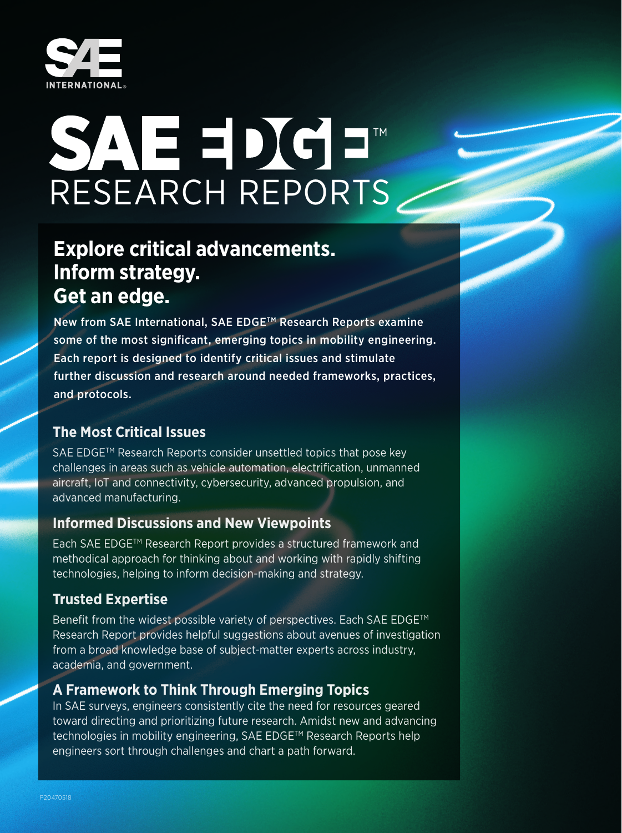

# SAEDGE RESEARCH REPORTS

# **Explore critical advancements. Inform strategy. Get an edge.**

New from SAE International, SAE EDGE™ Research Reports examine some of the most significant, emerging topics in mobility engineering. Each report is designed to identify critical issues and stimulate further discussion and research around needed frameworks, practices, and protocols.

# **The Most Critical Issues**

SAE EDGE™ Research Reports consider unsettled topics that pose key challenges in areas such as vehicle automation, electrification, unmanned aircraft, IoT and connectivity, cybersecurity, advanced propulsion, and advanced manufacturing.

## **Informed Discussions and New Viewpoints**

Each SAE EDGETM Research Report provides a structured framework and methodical approach for thinking about and working with rapidly shifting technologies, helping to inform decision-making and strategy.

# **Trusted Expertise**

Benefit from the widest possible variety of perspectives. Each SAE EDGE™ Research Report provides helpful suggestions about avenues of investigation from a broad knowledge base of subject-matter experts across industry, academia, and government.

# **A Framework to Think Through Emerging Topics**

In SAE surveys, engineers consistently cite the need for resources geared toward directing and prioritizing future research. Amidst new and advancing technologies in mobility engineering, SAE EDGE™ Research Reports help engineers sort through challenges and chart a path forward.